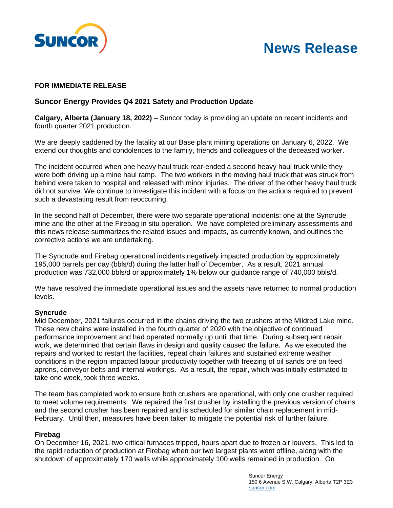

# **FOR IMMEDIATE RELEASE**

## **Suncor Energy Provides Q4 2021 Safety and Production Update**

**Calgary, Alberta (January 18, 2022)** – Suncor today is providing an update on recent incidents and fourth quarter 2021 production.

We are deeply saddened by the fatality at our Base plant mining operations on January 6, 2022. We extend our thoughts and condolences to the family, friends and colleagues of the deceased worker.

The incident occurred when one heavy haul truck rear-ended a second heavy haul truck while they were both driving up a mine haul ramp. The two workers in the moving haul truck that was struck from behind were taken to hospital and released with minor injuries. The driver of the other heavy haul truck did not survive. We continue to investigate this incident with a focus on the actions required to prevent such a devastating result from reoccurring.

In the second half of December, there were two separate operational incidents: one at the Syncrude mine and the other at the Firebag in situ operation. We have completed preliminary assessments and this news release summarizes the related issues and impacts, as currently known, and outlines the corrective actions we are undertaking.

The Syncrude and Firebag operational incidents negatively impacted production by approximately 195,000 barrels per day (bbls/d) during the latter half of December. As a result, 2021 annual production was 732,000 bbls/d or approximately 1% below our guidance range of 740,000 bbls/d.

We have resolved the immediate operational issues and the assets have returned to normal production levels.

### **Syncrude**

Mid December, 2021 failures occurred in the chains driving the two crushers at the Mildred Lake mine. These new chains were installed in the fourth quarter of 2020 with the objective of continued performance improvement and had operated normally up until that time. During subsequent repair work, we determined that certain flaws in design and quality caused the failure. As we executed the repairs and worked to restart the facilities, repeat chain failures and sustained extreme weather conditions in the region impacted labour productivity together with freezing of oil sands ore on feed aprons, conveyor belts and internal workings. As a result, the repair, which was initially estimated to take one week, took three weeks.

The team has completed work to ensure both crushers are operational, with only one crusher required to meet volume requirements. We repaired the first crusher by installing the previous version of chains and the second crusher has been repaired and is scheduled for similar chain replacement in mid-February. Until then, measures have been taken to mitigate the potential risk of further failure.

### **Firebag**

On December 16, 2021, two critical furnaces tripped, hours apart due to frozen air louvers. This led to the rapid reduction of production at Firebag when our two largest plants went offline, along with the shutdown of approximately 170 wells while approximately 100 wells remained in production. On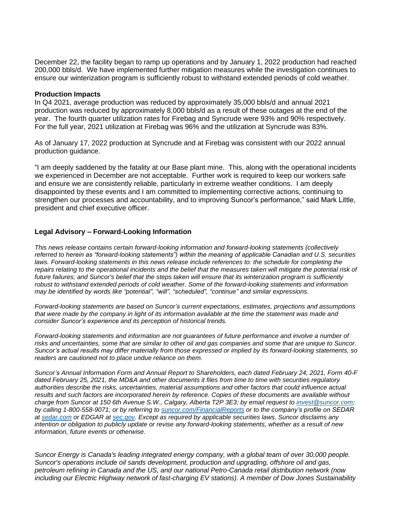December 22, the facility began to ramp up operations and by January 1, 2022 production had reached 200,000 bbls/d. We have implemented further mitigation measures while the investigation continues to ensure our winterization program is sufficiently robust to withstand extended periods of cold weather.

### **Production Impacts**

In Q4 2021, average production was reduced by approximately 35,000 bbls/d and annual 2021 production was reduced by approximately 8,000 bbls/d as a result of these outages at the end of the year. The fourth quarter utilization rates for Firebag and Syncrude were 93% and 90% respectively. For the full year, 2021 utilization at Firebag was 96% and the utilization at Syncrude was 83%.

As of January 17, 2022 production at Syncrude and at Firebag was consistent with our 2022 annual production guidance.

"I am deeply saddened by the fatality at our Base plant mine. This, along with the operational incidents we experienced in December are not acceptable. Further work is required to keep our workers safe and ensure we are consistently reliable, particularly in extreme weather conditions. I am deeply disappointed by these events and I am committed to implementing corrective actions, continuing to strengthen our processes and accountability, and to improving Suncor's performance," said Mark Little, president and chief executive officer.

## **Legal Advisory – Forward-Looking Information**

*This news release contains certain forward-looking information and forward-looking statements (collectively referred to herein as "forward-looking statements") within the meaning of applicable Canadian and U.S. securities laws. Forward-looking statements in this news release include references to: the schedule for completing the repairs relating to the operational incidents and the belief that the measures taken will mitigate the potential risk of future failures; and Suncor's belief that the steps taken will ensure that its winterization program is sufficiently robust to withstand extended periods of cold weather. Some of the forward-looking statements and information may be identified by words like "potential", "will", "scheduled", "continue" and similar expressions.*

*Forward-looking statements are based on Suncor's current expectations, estimates, projections and assumptions that were made by the company in light of its information available at the time the statement was made and consider Suncor's experience and its perception of historical trends.* 

*Forward-looking statements and information are not guarantees of future performance and involve a number of risks and uncertainties, some that are similar to other oil and gas companies and some that are unique to Suncor. Suncor's actual results may differ materially from those expressed or implied by its forward-looking statements, so readers are cautioned not to place undue reliance on them.*

*Suncor's Annual Information Form and Annual Report to Shareholders, each dated February 24, 2021, Form 40-F dated February 25, 2021, the MD&A and other documents it files from time to time with securities regulatory authorities describe the risks, uncertainties, material assumptions and other factors that could influence actual results and such factors are incorporated herein by reference. Copies of these documents are available without charge from Suncor at 150 6th Avenue S.W., Calgary, Alberta T2P 3E3; by email request to [invest@suncor.com;](mailto:invest@suncor.com) by calling 1-800-558-9071; or by referring to [suncor.com/FinancialReports](http://www.suncor.com/en/investor/429.aspx) or to the company's profile on SEDAR at [sedar.com](http://www.sedar.com/) or EDGAR at [sec.gov.](http://www.sec.gov/) Except as required by applicable securities laws, Suncor disclaims any intention or obligation to publicly update or revise any forward-looking statements, whether as a result of new information, future events or otherwise.*

*Suncor Energy is Canada's leading integrated energy company, with a global team of over 30,000 people. Suncor's operations include oil sands development, production and upgrading, offshore oil and gas, petroleum refining in Canada and the US, and our national Petro-Canada retail distribution network (now including our Electric Highway network of fast-charging EV stations). A member of Dow Jones Sustainability*